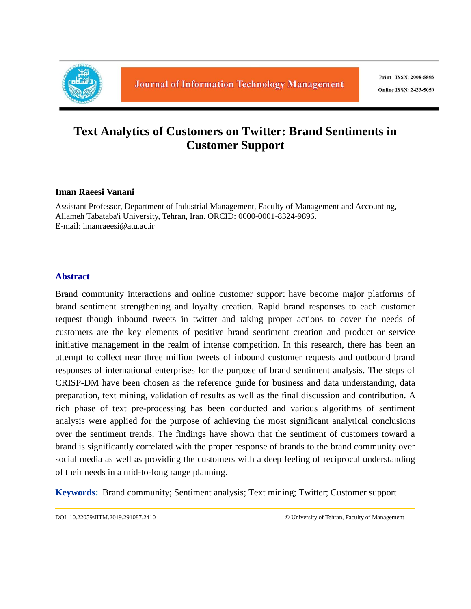

# **Text Analytics of Customers on Twitter: Brand Sentiments in Customer Support**

# **Iman Raeesi Vanani**

Assistant Professor, Department of Industrial Management, Faculty of Management and Accounting, Allameh Tabataba'i University, Tehran, Iran. ORCID: 0000-0001-8324-9896. E-mail: imanraeesi@atu.ac.ir

# **Abstract**

Brand community interactions and online customer support have become major platforms of brand sentiment strengthening and loyalty creation. Rapid brand responses to each customer request though inbound tweets in twitter and taking proper actions to cover the needs of customers are the key elements of positive brand sentiment creation and product or service initiative management in the realm of intense competition. In this research, there has been an attempt to collect near three million tweets of inbound customer requests and outbound brand responses of international enterprises for the purpose of brand sentiment analysis. The steps of CRISP-DM have been chosen as the reference guide for business and data understanding, data preparation, text mining, validation of results as well as the final discussion and contribution. A rich phase of text pre-processing has been conducted and various algorithms of sentiment analysis were applied for the purpose of achieving the most significant analytical conclusions over the sentiment trends. The findings have shown that the sentiment of customers toward a brand is significantly correlated with the proper response of brands to the brand community over social media as well as providing the customers with a deep feeling of reciprocal understanding of their needs in a mid-to-long range planning.

**Keywords:** Brand community; Sentiment analysis; Text mining; Twitter; Customer support.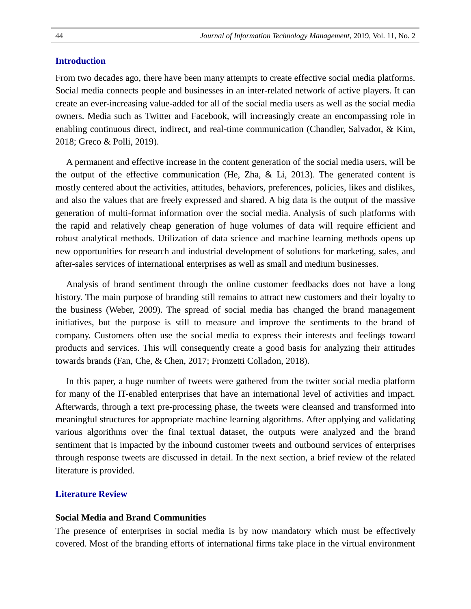# **Introduction**

From two decades ago, there have been many attempts to create effective social media platforms. Social media connects people and businesses in an inter-related network of active players. It can create an ever-increasing value-added for all of the social media users as well as the social media owners. Media such as Twitter and Facebook, will increasingly create an encompassing role in enabling continuous direct, indirect, and real-time communication (Chandler, Salvador, & Kim, 2018; Greco & Polli, 2019).

A permanent and effective increase in the content generation of the social media users, will be the output of the effective communication (He, Zha,  $\&$  Li, 2013). The generated content is mostly centered about the activities, attitudes, behaviors, preferences, policies, likes and dislikes, and also the values that are freely expressed and shared. A big data is the output of the massive generation of multi-format information over the social media. Analysis of such platforms with the rapid and relatively cheap generation of huge volumes of data will require efficient and robust analytical methods. Utilization of data science and machine learning methods opens up new opportunities for research and industrial development of solutions for marketing, sales, and after-sales services of international enterprises as well as small and medium businesses.

Analysis of brand sentiment through the online customer feedbacks does not have a long history. The main purpose of branding still remains to attract new customers and their loyalty to the business (Weber, 2009). The spread of social media has changed the brand management initiatives, but the purpose is still to measure and improve the sentiments to the brand of company. Customers often use the social media to express their interests and feelings toward products and services. This will consequently create a good basis for analyzing their attitudes towards brands (Fan, Che, & Chen, 2017; Fronzetti Colladon, 2018).

In this paper, a huge number of tweets were gathered from the twitter social media platform for many of the IT-enabled enterprises that have an international level of activities and impact. Afterwards, through a text pre-processing phase, the tweets were cleansed and transformed into meaningful structures for appropriate machine learning algorithms. After applying and validating various algorithms over the final textual dataset, the outputs were analyzed and the brand sentiment that is impacted by the inbound customer tweets and outbound services of enterprises through response tweets are discussed in detail. In the next section, a brief review of the related literature is provided.

## **Literature Review**

#### **Social Media and Brand Communities**

The presence of enterprises in social media is by now mandatory which must be effectively covered. Most of the branding efforts of international firms take place in the virtual environment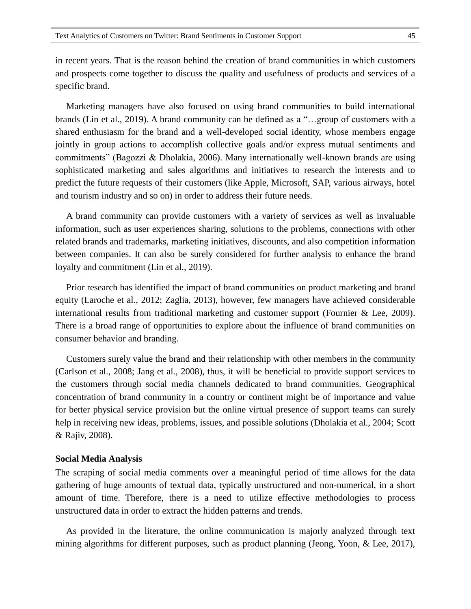in recent years. That is the reason behind the creation of brand communities in which customers and prospects come together to discuss the quality and usefulness of products and services of a specific brand.

Marketing managers have also focused on using brand communities to build international brands (Lin et al., 2019). A brand community can be defined as a "…group of customers with a shared enthusiasm for the brand and a well-developed social identity, whose members engage jointly in group actions to accomplish collective goals and/or express mutual sentiments and commitments" (Bagozzi & Dholakia, 2006). Many internationally well-known brands are using sophisticated marketing and sales algorithms and initiatives to research the interests and to predict the future requests of their customers (like Apple, Microsoft, SAP, various airways, hotel and tourism industry and so on) in order to address their future needs.

A brand community can provide customers with a variety of services as well as invaluable information, such as user experiences sharing, solutions to the problems, connections with other related brands and trademarks, marketing initiatives, discounts, and also competition information between companies. It can also be surely considered for further analysis to enhance the brand loyalty and commitment (Lin et al., 2019).

Prior research has identified the impact of brand communities on product marketing and brand equity (Laroche et al., 2012; Zaglia, 2013), however, few managers have achieved considerable international results from traditional marketing and customer support (Fournier & Lee, 2009). There is a broad range of opportunities to explore about the influence of brand communities on consumer behavior and branding.

Customers surely value the brand and their relationship with other members in the community (Carlson et al., 2008; Jang et al., 2008), thus, it will be beneficial to provide support services to the customers through social media channels dedicated to brand communities. Geographical concentration of brand community in a country or continent might be of importance and value for better physical service provision but the online virtual presence of support teams can surely help in receiving new ideas, problems, issues, and possible solutions (Dholakia et al., 2004; Scott & Rajiv, 2008).

#### **Social Media Analysis**

The scraping of social media comments over a meaningful period of time allows for the data gathering of huge amounts of textual data, typically unstructured and non-numerical, in a short amount of time. Therefore, there is a need to utilize effective methodologies to process unstructured data in order to extract the hidden patterns and trends.

As provided in the literature, the online communication is majorly analyzed through text mining algorithms for different purposes, such as product planning (Jeong, Yoon, & Lee, 2017),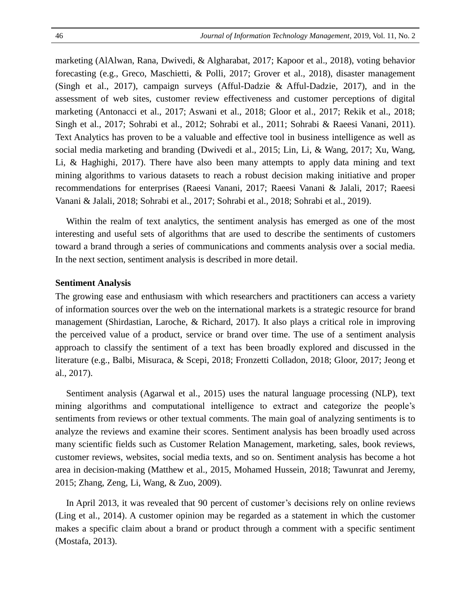marketing (AlAlwan, Rana, Dwivedi, & Algharabat, 2017; Kapoor et al., 2018), voting behavior forecasting (e.g., Greco, Maschietti, & Polli, 2017; Grover et al., 2018), disaster management (Singh et al., 2017), campaign surveys (Afful-Dadzie & Afful-Dadzie, 2017), and in the assessment of web sites, customer review effectiveness and customer perceptions of digital marketing (Antonacci et al., 2017; Aswani et al., 2018; Gloor et al., 2017; Rekik et al., 2018; Singh et al., 2017; Sohrabi et al., 2012; Sohrabi et al., 2011; Sohrabi & Raeesi Vanani, 2011). Text Analytics has proven to be a valuable and effective tool in business intelligence as well as social media marketing and branding (Dwivedi et al., 2015; Lin, Li, & Wang, 2017; Xu, Wang, Li, & Haghighi, 2017). There have also been many attempts to apply data mining and text mining algorithms to various datasets to reach a robust decision making initiative and proper recommendations for enterprises (Raeesi Vanani, 2017; Raeesi Vanani & Jalali, 2017; Raeesi Vanani & Jalali, 2018; Sohrabi et al., 2017; Sohrabi et al., 2018; Sohrabi et al., 2019).

Within the realm of text analytics, the sentiment analysis has emerged as one of the most interesting and useful sets of algorithms that are used to describe the sentiments of customers toward a brand through a series of communications and comments analysis over a social media. In the next section, sentiment analysis is described in more detail.

#### **Sentiment Analysis**

The growing ease and enthusiasm with which researchers and practitioners can access a variety of information sources over the web on the international markets is a strategic resource for brand management (Shirdastian, Laroche, & Richard, 2017). It also plays a critical role in improving the perceived value of a product, service or brand over time. The use of a sentiment analysis approach to classify the sentiment of a text has been broadly explored and discussed in the literature (e.g., Balbi, Misuraca, & Scepi, 2018; Fronzetti Colladon, 2018; Gloor, 2017; Jeong et al., 2017).

Sentiment analysis (Agarwal et al., 2015) uses the natural language processing (NLP), text mining algorithms and computational intelligence to extract and categorize the people's sentiments from reviews or other textual comments. The main goal of analyzing sentiments is to analyze the reviews and examine their scores. Sentiment analysis has been broadly used across many scientific fields such as Customer Relation Management, marketing, sales, book reviews, customer reviews, websites, social media texts, and so on. Sentiment analysis has become a hot area in decision-making (Matthew et al., 2015, Mohamed Hussein, 2018; Tawunrat and Jeremy, 2015; Zhang, Zeng, Li, Wang, & Zuo, 2009).

In April 2013, it was revealed that 90 percent of customer's decisions rely on online reviews (Ling et al., 2014). A customer opinion may be regarded as a statement in which the customer makes a specific claim about a brand or product through a comment with a specific sentiment (Mostafa, 2013).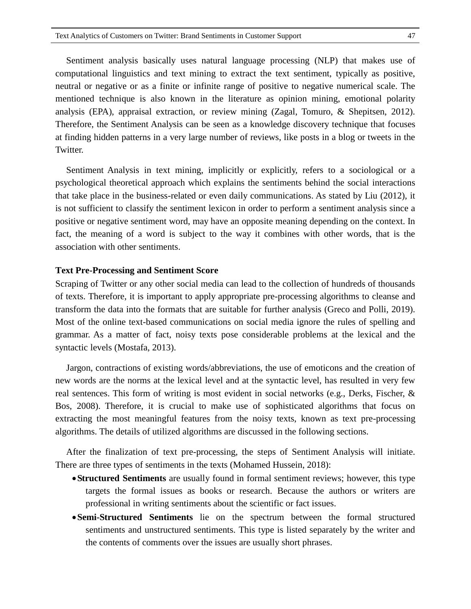Sentiment analysis basically uses natural language processing (NLP) that makes use of computational linguistics and text mining to extract the text sentiment, typically as positive, neutral or negative or as a finite or infinite range of positive to negative numerical scale. The mentioned technique is also known in the literature as opinion mining, emotional polarity analysis (EPA), appraisal extraction, or review mining (Zagal, Tomuro, & Shepitsen, 2012). Therefore, the Sentiment Analysis can be seen as a knowledge discovery technique that focuses at finding hidden patterns in a very large number of reviews, like posts in a blog or tweets in the Twitter.

Sentiment Analysis in text mining, implicitly or explicitly, refers to a sociological or a psychological theoretical approach which explains the sentiments behind the social interactions that take place in the business-related or even daily communications. As stated by Liu (2012), it is not sufficient to classify the sentiment lexicon in order to perform a sentiment analysis since a positive or negative sentiment word, may have an opposite meaning depending on the context. In fact, the meaning of a word is subject to the way it combines with other words, that is the association with other sentiments.

#### **Text Pre-Processing and Sentiment Score**

Scraping of Twitter or any other social media can lead to the collection of hundreds of thousands of texts. Therefore, it is important to apply appropriate pre-processing algorithms to cleanse and transform the data into the formats that are suitable for further analysis (Greco and Polli, 2019). Most of the online text-based communications on social media ignore the rules of spelling and grammar. As a matter of fact, noisy texts pose considerable problems at the lexical and the syntactic levels (Mostafa, 2013).

Jargon, contractions of existing words/abbreviations, the use of emoticons and the creation of new words are the norms at the lexical level and at the syntactic level, has resulted in very few real sentences. This form of writing is most evident in social networks (e.g., Derks, Fischer, & Bos, 2008). Therefore, it is crucial to make use of sophisticated algorithms that focus on extracting the most meaningful features from the noisy texts, known as text pre-processing algorithms. The details of utilized algorithms are discussed in the following sections.

After the finalization of text pre-processing, the steps of Sentiment Analysis will initiate. There are three types of sentiments in the texts (Mohamed Hussein, 2018):

- **Structured Sentiments** are usually found in formal sentiment reviews; however, this type targets the formal issues as books or research. Because the authors or writers are professional in writing sentiments about the scientific or fact issues.
- **Semi-Structured Sentiments** lie on the spectrum between the formal structured sentiments and unstructured sentiments. This type is listed separately by the writer and the contents of comments over the issues are usually short phrases.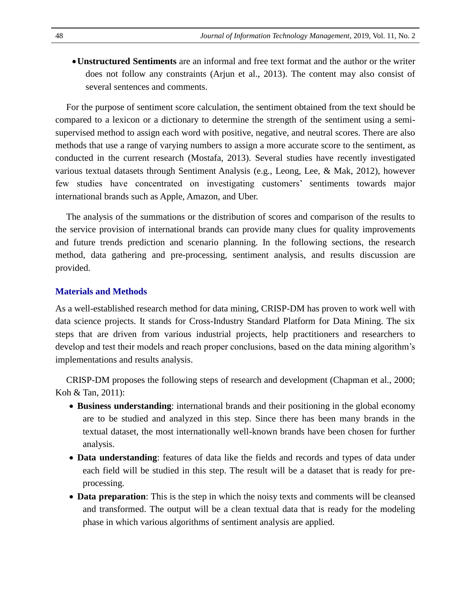**Unstructured Sentiments** are an informal and free text format and the author or the writer does not follow any constraints (Arjun et al., 2013). The content may also consist of several sentences and comments.

For the purpose of sentiment score calculation, the sentiment obtained from the text should be compared to a lexicon or a dictionary to determine the strength of the sentiment using a semisupervised method to assign each word with positive, negative, and neutral scores. There are also methods that use a range of varying numbers to assign a more accurate score to the sentiment, as conducted in the current research (Mostafa, 2013). Several studies have recently investigated various textual datasets through Sentiment Analysis (e.g., Leong, Lee, & Mak, 2012), however few studies have concentrated on investigating customers' sentiments towards major international brands such as Apple, Amazon, and Uber.

The analysis of the summations or the distribution of scores and comparison of the results to the service provision of international brands can provide many clues for quality improvements and future trends prediction and scenario planning. In the following sections, the research method, data gathering and pre-processing, sentiment analysis, and results discussion are provided.

## **Materials and Methods**

As a well-established research method for data mining, CRISP-DM has proven to work well with data science projects. It stands for Cross-Industry Standard Platform for Data Mining. The six steps that are driven from various industrial projects, help practitioners and researchers to develop and test their models and reach proper conclusions, based on the data mining algorithm's implementations and results analysis.

CRISP-DM proposes the following steps of research and development (Chapman et al., 2000; Koh & Tan, 2011):

- **Business understanding**: international brands and their positioning in the global economy are to be studied and analyzed in this step. Since there has been many brands in the textual dataset, the most internationally well-known brands have been chosen for further analysis.
- **Data understanding**: features of data like the fields and records and types of data under each field will be studied in this step. The result will be a dataset that is ready for preprocessing.
- **Data preparation**: This is the step in which the noisy texts and comments will be cleansed and transformed. The output will be a clean textual data that is ready for the modeling phase in which various algorithms of sentiment analysis are applied.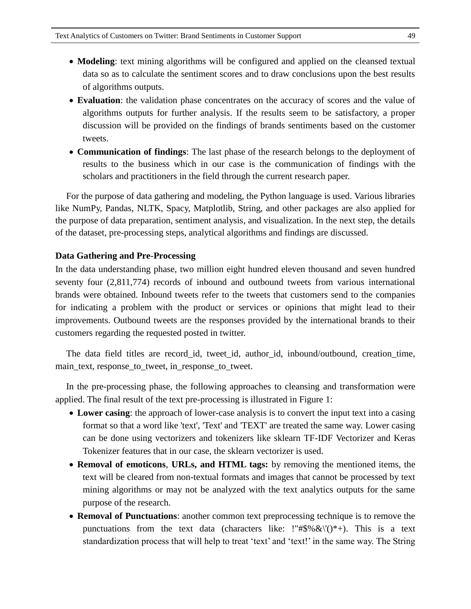- **Modeling**: text mining algorithms will be configured and applied on the cleansed textual data so as to calculate the sentiment scores and to draw conclusions upon the best results of algorithms outputs.
- **Evaluation**: the validation phase concentrates on the accuracy of scores and the value of algorithms outputs for further analysis. If the results seem to be satisfactory, a proper discussion will be provided on the findings of brands sentiments based on the customer tweets.
- **Communication of findings**: The last phase of the research belongs to the deployment of results to the business which in our case is the communication of findings with the scholars and practitioners in the field through the current research paper.

For the purpose of data gathering and modeling, the Python language is used. Various libraries like NumPy, Pandas, NLTK, Spacy, Matplotlib, String, and other packages are also applied for the purpose of data preparation, sentiment analysis, and visualization. In the next step, the details of the dataset, pre-processing steps, analytical algorithms and findings are discussed.

#### **Data Gathering and Pre-Processing**

In the data understanding phase, two million eight hundred eleven thousand and seven hundred seventy four (2,811,774) records of inbound and outbound tweets from various international brands were obtained. Inbound tweets refer to the tweets that customers send to the companies for indicating a problem with the product or services or opinions that might lead to their improvements. Outbound tweets are the responses provided by the international brands to their customers regarding the requested posted in twitter.

The data field titles are record\_id, tweet\_id, author\_id, inbound/outbound, creation\_time, main\_text, response\_to\_tweet, in\_response\_to\_tweet.

In the pre-processing phase, the following approaches to cleansing and transformation were applied. The final result of the text pre-processing is illustrated in Figure 1:

- **Lower casing**: the approach of lower-case analysis is to convert the input text into a casing format so that a word like 'text', 'Text' and 'TEXT' are treated the same way. Lower casing can be done using vectorizers and tokenizers like sklearn TF-IDF Vectorizer and Keras Tokenizer features that in our case, the sklearn vectorizer is used.
- **Removal of emoticons**, **URLs, and HTML tags:** by removing the mentioned items, the text will be cleared from non-textual formats and images that cannot be processed by text mining algorithms or may not be analyzed with the text analytics outputs for the same purpose of the research.
- **Removal of Punctuations**: another common text preprocessing technique is to remove the punctuations from the text data (characters like: !"#\$%  $\&\$ '()\*+). This is a text standardization process that will help to treat 'text' and 'text!' in the same way. The String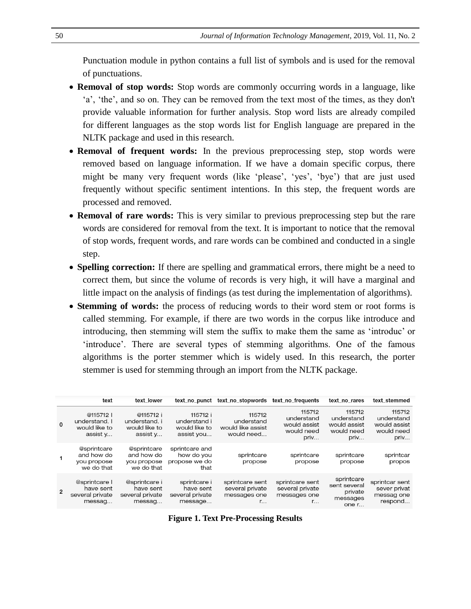Punctuation module in python contains a full list of symbols and is used for the removal of punctuations.

- **Removal of stop words:** Stop words are commonly occurring words in a language, like 'a', 'the', and so on. They can be removed from the text most of the times, as they don't provide valuable information for further analysis. Stop word lists are already compiled for different languages as the stop words list for English language are prepared in the NLTK package and used in this research.
- **Removal of frequent words:** In the previous preprocessing step, stop words were removed based on language information. If we have a domain specific corpus, there might be many very frequent words (like 'please', 'yes', 'bye') that are just used frequently without specific sentiment intentions. In this step, the frequent words are processed and removed.
- **Removal of rare words:** This is very similar to previous preprocessing step but the rare words are considered for removal from the text. It is important to notice that the removal of stop words, frequent words, and rare words can be combined and conducted in a single step.
- **Spelling correction:** If there are spelling and grammatical errors, there might be a need to correct them, but since the volume of records is very high, it will have a marginal and little impact on the analysis of findings (as test during the implementation of algorithms).
- **Stemming of words:** the process of reducing words to their word stem or root forms is called stemming. For example, if there are two words in the corpus like introduce and introducing, then stemming will stem the suffix to make them the same as 'introduc' or 'introduce'. There are several types of stemming algorithms. One of the famous algorithms is the porter stemmer which is widely used. In this research, the porter stemmer is used for stemming through an import from the NLTK package.

|          | text                                                    | text lower                                              |                                                         | text no punct text no stopwords                                    | text no frequents                                                  | text no rares                                              | text stemmed                                               |
|----------|---------------------------------------------------------|---------------------------------------------------------|---------------------------------------------------------|--------------------------------------------------------------------|--------------------------------------------------------------------|------------------------------------------------------------|------------------------------------------------------------|
| $\Omega$ | @115712  <br>understand. I<br>would like to<br>assist y | @115712 i<br>understand. i<br>would like to<br>assist y | 115712 i<br>understand i<br>would like to<br>assist you | 115712<br>understand<br>would like assist<br>would need            | 115712<br>understand<br>would assist<br>would need<br>priv         | 115712<br>understand<br>would assist<br>would need<br>priv | 115712<br>understand<br>would assist<br>would need<br>priv |
|          | @sprintcare<br>and how do<br>you propose<br>we do that  | @sprintcare<br>and how do<br>you propose<br>we do that  | sprintcare and<br>how do you<br>propose we do<br>that   | sprintcare<br>propose                                              | sprintcare<br>propose                                              | sprintcare<br>propose                                      | sprintcar<br>propos                                        |
| 2        | @sprintcare  <br>have sent<br>several private<br>messag | @sprintcare i<br>have sent<br>several private<br>messag | sprintcare i<br>have sent<br>several private<br>message | sprintcare sent<br>several private<br>messages one<br>$r_{\cdots}$ | sprintcare sent<br>several private<br>messages one<br>$r_{\cdots}$ | sprintcare<br>sent several<br>private<br>messages<br>one r | sprintcar sent<br>sever privat<br>messag one<br>respond    |

**Figure 1. Text Pre-Processing Results**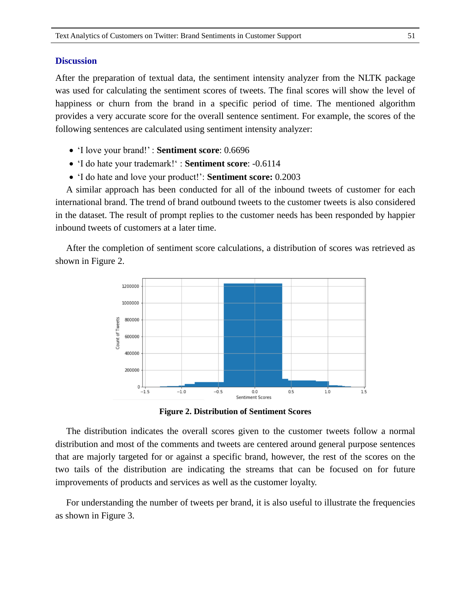#### **Discussion**

After the preparation of textual data, the sentiment intensity analyzer from the NLTK package was used for calculating the sentiment scores of tweets. The final scores will show the level of happiness or churn from the brand in a specific period of time. The mentioned algorithm provides a very accurate score for the overall sentence sentiment. For example, the scores of the following sentences are calculated using sentiment intensity analyzer:

- 'I love your brand!' : **Sentiment score**: 0.6696
- 'I do hate your trademark!' : **Sentiment score**: -0.6114
- 'I do hate and love your product!': **Sentiment score:** 0.2003

A similar approach has been conducted for all of the inbound tweets of customer for each international brand. The trend of brand outbound tweets to the customer tweets is also considered in the dataset. The result of prompt replies to the customer needs has been responded by happier inbound tweets of customers at a later time.

After the completion of sentiment score calculations, a distribution of scores was retrieved as shown in Figure 2.



**Figure 2. Distribution of Sentiment Scores**

The distribution indicates the overall scores given to the customer tweets follow a normal distribution and most of the comments and tweets are centered around general purpose sentences that are majorly targeted for or against a specific brand, however, the rest of the scores on the two tails of the distribution are indicating the streams that can be focused on for future improvements of products and services as well as the customer loyalty.

For understanding the number of tweets per brand, it is also useful to illustrate the frequencies as shown in Figure 3.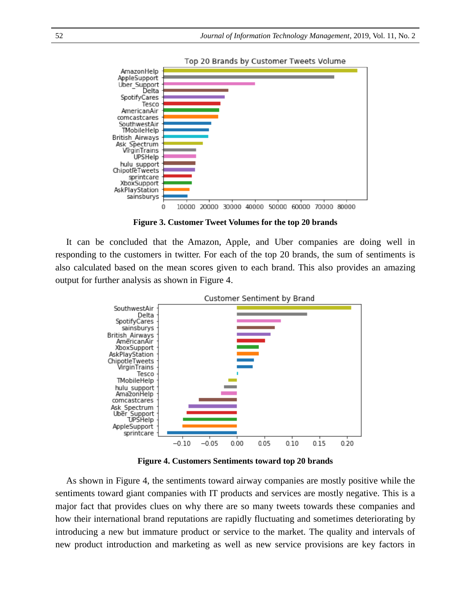

Top 20 Brands by Customer Tweets Volume

**Figure 3. Customer Tweet Volumes for the top 20 brands**

It can be concluded that the Amazon, Apple, and Uber companies are doing well in responding to the customers in twitter. For each of the top 20 brands, the sum of sentiments is also calculated based on the mean scores given to each brand. This also provides an amazing output for further analysis as shown in Figure 4.



**Figure 4. Customers Sentiments toward top 20 brands**

As shown in Figure 4, the sentiments toward airway companies are mostly positive while the sentiments toward giant companies with IT products and services are mostly negative. This is a major fact that provides clues on why there are so many tweets towards these companies and how their international brand reputations are rapidly fluctuating and sometimes deteriorating by introducing a new but immature product or service to the market. The quality and intervals of new product introduction and marketing as well as new service provisions are key factors in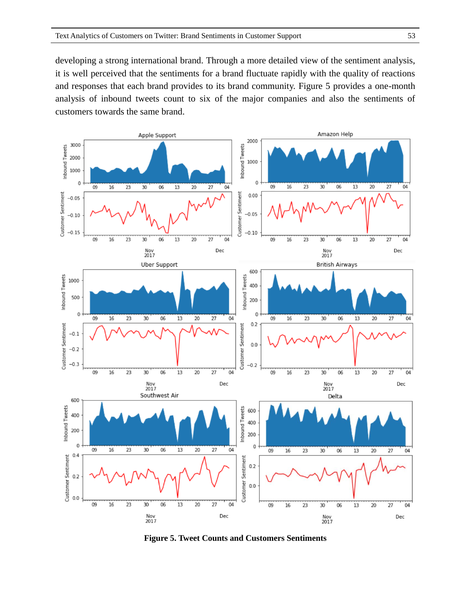developing a strong international brand. Through a more detailed view of the sentiment analysis, it is well perceived that the sentiments for a brand fluctuate rapidly with the quality of reactions and responses that each brand provides to its brand community. Figure 5 provides a one-month analysis of inbound tweets count to six of the major companies and also the sentiments of customers towards the same brand.



**Figure 5. Tweet Counts and Customers Sentiments**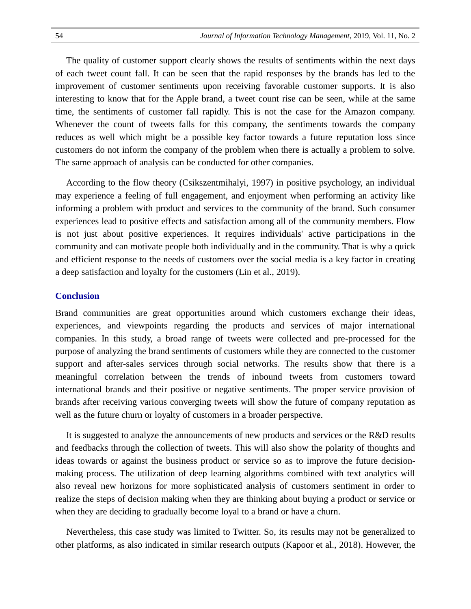The quality of customer support clearly shows the results of sentiments within the next days of each tweet count fall. It can be seen that the rapid responses by the brands has led to the improvement of customer sentiments upon receiving favorable customer supports. It is also interesting to know that for the Apple brand, a tweet count rise can be seen, while at the same time, the sentiments of customer fall rapidly. This is not the case for the Amazon company. Whenever the count of tweets falls for this company, the sentiments towards the company reduces as well which might be a possible key factor towards a future reputation loss since customers do not inform the company of the problem when there is actually a problem to solve. The same approach of analysis can be conducted for other companies.

According to the flow theory (Csikszentmihalyi, 1997) in positive psychology, an individual may experience a feeling of full engagement, and enjoyment when performing an activity like informing a problem with product and services to the community of the brand. Such consumer experiences lead to positive effects and satisfaction among all of the community members. Flow is not just about positive experiences. It requires individuals' active participations in the community and can motivate people both individually and in the community. That is why a quick and efficient response to the needs of customers over the social media is a key factor in creating a deep satisfaction and loyalty for the customers (Lin et al., 2019).

## **Conclusion**

Brand communities are great opportunities around which customers exchange their ideas, experiences, and viewpoints regarding the products and services of major international companies. In this study, a broad range of tweets were collected and pre-processed for the purpose of analyzing the brand sentiments of customers while they are connected to the customer support and after-sales services through social networks. The results show that there is a meaningful correlation between the trends of inbound tweets from customers toward international brands and their positive or negative sentiments. The proper service provision of brands after receiving various converging tweets will show the future of company reputation as well as the future churn or loyalty of customers in a broader perspective.

It is suggested to analyze the announcements of new products and services or the R&D results and feedbacks through the collection of tweets. This will also show the polarity of thoughts and ideas towards or against the business product or service so as to improve the future decisionmaking process. The utilization of deep learning algorithms combined with text analytics will also reveal new horizons for more sophisticated analysis of customers sentiment in order to realize the steps of decision making when they are thinking about buying a product or service or when they are deciding to gradually become loyal to a brand or have a churn.

Nevertheless, this case study was limited to Twitter. So, its results may not be generalized to other platforms, as also indicated in similar research outputs (Kapoor et al., 2018). However, the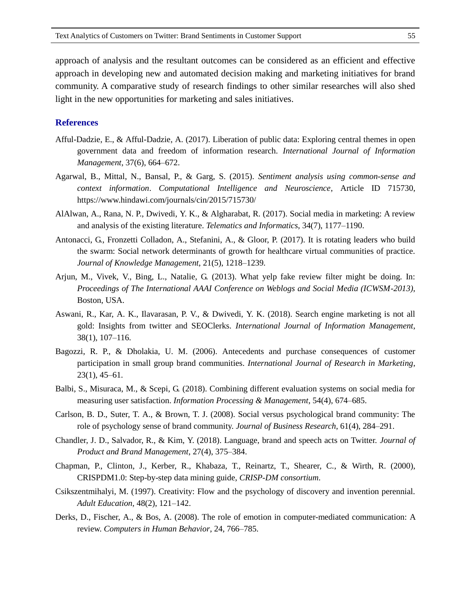approach of analysis and the resultant outcomes can be considered as an efficient and effective approach in developing new and automated decision making and marketing initiatives for brand community. A comparative study of research findings to other similar researches will also shed light in the new opportunities for marketing and sales initiatives.

## **References**

- Afful-Dadzie, E., & Afful-Dadzie, A. (2017). Liberation of public data: Exploring central themes in open government data and freedom of information research. *International Journal of Information Management*, 37(6), 664–672.
- Agarwal, B., Mittal, N., Bansal, P., & Garg, S. (2015). *Sentiment analysis using common-sense and context information*. *Computational Intelligence and Neuroscience*, Article ID 715730, https://www.hindawi.com/journals/cin/2015/715730/
- AlAlwan, A., Rana, N. P., Dwivedi, Y. K., & Algharabat, R. (2017). Social media in marketing: A review and analysis of the existing literature. *Telematics and Informatics*, 34(7), 1177–1190.
- Antonacci, G., Fronzetti Colladon, A., Stefanini, A., & Gloor, P. (2017). It is rotating leaders who build the swarm: Social network determinants of growth for healthcare virtual communities of practice. *Journal of Knowledge Management*, 21(5), 1218–1239.
- Arjun, M., Vivek, V., Bing, L., Natalie, G. (2013). What yelp fake review filter might be doing. In: *Proceedings of The International AAAI Conference on Weblogs and Social Media (ICWSM-2013)*, Boston, USA.
- Aswani, R., Kar, A. K., Ilavarasan, P. V., & Dwivedi, Y. K. (2018). Search engine marketing is not all gold: Insights from twitter and SEOClerks. *International Journal of Information Management*, 38(1), 107–116.
- Bagozzi, R. P., & Dholakia, U. M. (2006). Antecedents and purchase consequences of customer participation in small group brand communities. *International Journal of Research in Marketing*, 23(1), 45–61.
- Balbi, S., Misuraca, M., & Scepi, G. (2018). Combining different evaluation systems on social media for measuring user satisfaction. *Information Processing & Management*, 54(4), 674–685.
- Carlson, B. D., Suter, T. A., & Brown, T. J. (2008). Social versus psychological brand community: The role of psychology sense of brand community. *Journal of Business Research*, 61(4), 284–291.
- Chandler, J. D., Salvador, R., & Kim, Y. (2018). Language, brand and speech acts on Twitter. *Journal of Product and Brand Management*, 27(4), 375–384.
- Chapman, P., Clinton, J., Kerber, R., Khabaza, T., Reinartz, T., Shearer, C., & Wirth, R. (2000), CRISPDM1.0: Step-by-step data mining guide, *CRISP-DM consortium*.
- Csikszentmihalyi, M. (1997). Creativity: Flow and the psychology of discovery and invention perennial. *Adult Education*, 48(2), 121–142.
- Derks, D., Fischer, A., & Bos, A. (2008). The role of emotion in computer-mediated communication: A review. *Computers in Human Behavior*, 24, 766–785.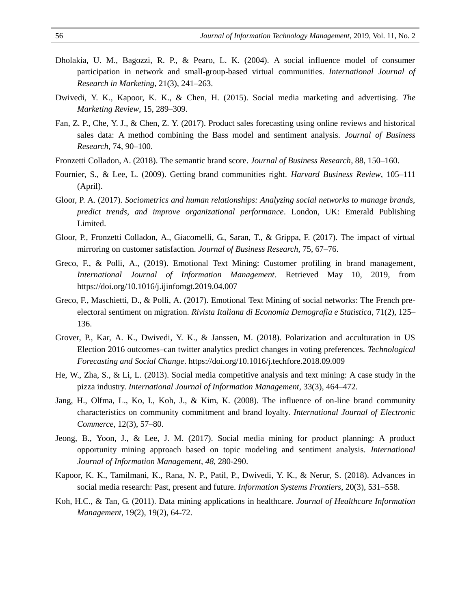- Dholakia, U. M., Bagozzi, R. P., & Pearo, L. K. (2004). A social influence model of consumer participation in network and small-group-based virtual communities. *International Journal of Research in Marketing*, 21(3), 241–263.
- Dwivedi, Y. K., Kapoor, K. K., & Chen, H. (2015). Social media marketing and advertising. *The Marketing Review*, 15, 289–309.
- Fan, Z. P., Che, Y. J., & Chen, Z. Y. (2017). Product sales forecasting using online reviews and historical sales data: A method combining the Bass model and sentiment analysis. *Journal of Business Research*, 74, 90–100.
- Fronzetti Colladon, A. (2018). The semantic brand score. *Journal of Business Research*, 88, 150–160.
- Fournier, S., & Lee, L. (2009). Getting brand communities right. *Harvard Business Review*, 105–111 (April).
- Gloor, P. A. (2017). *Sociometrics and human relationships: Analyzing social networks to manage brands, predict trends, and improve organizational performance*. London, UK: Emerald Publishing Limited.
- Gloor, P., Fronzetti Colladon, A., Giacomelli, G., Saran, T., & Grippa, F. (2017). The impact of virtual mirroring on customer satisfaction. *Journal of Business Research*, 75, 67–76.
- Greco, F., & Polli, A., (2019). Emotional Text Mining: Customer profiling in brand management, *International Journal of Information Management*. Retrieved May 10, 2019, from https://doi.org/10.1016/j.ijinfomgt.2019.04.007
- Greco, F., Maschietti, D., & Polli, A. (2017). Emotional Text Mining of social networks: The French preelectoral sentiment on migration. *Rivista Italiana di Economia Demografia e Statistica*, 71(2), 125– 136.
- Grover, P., Kar, A. K., Dwivedi, Y. K., & Janssen, M. (2018). Polarization and acculturation in US Election 2016 outcomes–can twitter analytics predict changes in voting preferences. *Technological Forecasting and Social Change*. https://doi.org/10.1016/j.techfore.2018.09.009
- He, W., Zha, S., & Li, L. (2013). Social media competitive analysis and text mining: A case study in the pizza industry. *International Journal of Information Management*, 33(3), 464–472.
- Jang, H., Olfma, L., Ko, I., Koh, J., & Kim, K. (2008). The influence of on-line brand community characteristics on community commitment and brand loyalty. *International Journal of Electronic Commerce*, 12(3), 57–80.
- Jeong, B., Yoon, J., & Lee, J. M. (2017). Social media mining for product planning: A product opportunity mining approach based on topic modeling and sentiment analysis. *International Journal of Information Management*, *48*, 280-290.
- Kapoor, K. K., Tamilmani, K., Rana, N. P., Patil, P., Dwivedi, Y. K., & Nerur, S. (2018). Advances in social media research: Past, present and future. *Information Systems Frontiers*, 20(3), 531–558.
- Koh, H.C., & Tan, G. (2011). Data mining applications in healthcare. *Journal of Healthcare Information Management*, 19(2), 19(2), 64-72.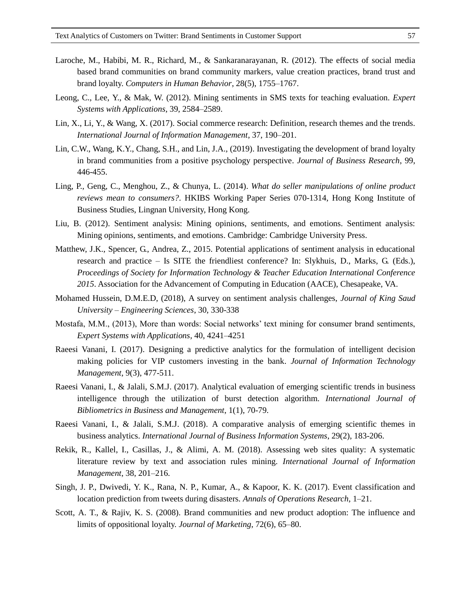- Laroche, M., Habibi, M. R., Richard, M., & Sankaranarayanan, R. (2012). The effects of social media based brand communities on brand community markers, value creation practices, brand trust and brand loyalty. *Computers in Human Behavior*, 28(5), 1755–1767.
- Leong, C., Lee, Y., & Mak, W. (2012). Mining sentiments in SMS texts for teaching evaluation. *Expert Systems with Applications*, 39, 2584–2589.
- Lin, X., Li, Y., & Wang, X. (2017). Social commerce research: Definition, research themes and the trends. *International Journal of Information Management*, 37, 190–201.
- Lin, C.W., Wang, K.Y., Chang, S.H., and Lin, J.A., (2019). Investigating the development of brand loyalty in brand communities from a positive psychology perspective. *Journal of Business Research*, 99, 446-455.
- Ling, P., Geng, C., Menghou, Z., & Chunya, L. (2014). *What do seller manipulations of online product reviews mean to consumers?*. HKIBS Working Paper Series 070-1314, Hong Kong Institute of Business Studies, Lingnan University, Hong Kong.
- Liu, B. (2012). Sentiment analysis: Mining opinions, sentiments, and emotions. Sentiment analysis: Mining opinions, sentiments, and emotions. Cambridge: Cambridge University Press.
- Matthew, J.K., Spencer, G., Andrea, Z., 2015. Potential applications of sentiment analysis in educational research and practice – Is SITE the friendliest conference? In: Slykhuis, D., Marks, G. (Eds.), *Proceedings of Society for Information Technology & Teacher Education International Conference 2015*. Association for the Advancement of Computing in Education (AACE), Chesapeake, VA.
- Mohamed Hussein, D.M.E.D, (2018), A survey on sentiment analysis challenges, *Journal of King Saud University – Engineering Sciences*, 30, 330-338
- Mostafa, M.M., (2013), More than words: Social networks' text mining for consumer brand sentiments, *Expert Systems with Applications*, 40, 4241–4251
- Raeesi Vanani, I. (2017). Designing a predictive analytics for the formulation of intelligent decision making policies for VIP customers investing in the bank. *Journal of Information Technology Management*, 9(3), 477-511.
- Raeesi Vanani, I., & Jalali, S.M.J. (2017). Analytical evaluation of emerging scientific trends in business intelligence through the utilization of burst detection algorithm. *International Journal of Bibliometrics in Business and Management*, 1(1), 70-79.
- Raeesi Vanani, I., & Jalali, S.M.J. (2018). A comparative analysis of emerging scientific themes in business analytics. *International Journal of Business Information Systems*, 29(2), 183-206.
- Rekik, R., Kallel, I., Casillas, J., & Alimi, A. M. (2018). Assessing web sites quality: A systematic literature review by text and association rules mining. *International Journal of Information Management*, 38, 201–216.
- Singh, J. P., Dwivedi, Y. K., Rana, N. P., Kumar, A., & Kapoor, K. K. (2017). Event classification and location prediction from tweets during disasters. *Annals of Operations Research*, 1–21.
- Scott, A. T., & Rajiv, K. S. (2008). Brand communities and new product adoption: The influence and limits of oppositional loyalty. *Journal of Marketing*, 72(6), 65–80.